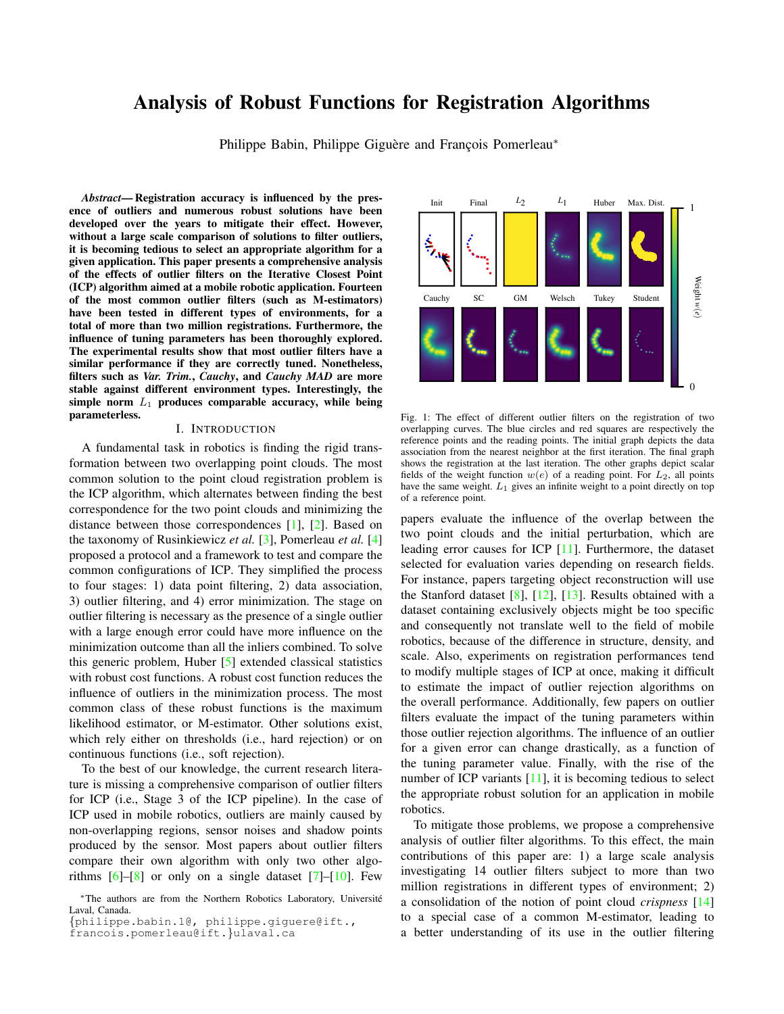# **Analysis of Robust Functions for Registration Algorithms**

Philippe Babin, Philippe Giguère and François Pomerleau\*

Abstract-Registration accuracy is influenced by the presence of outliers and numerous robust solutions have been developed over the years to mitigate their effect. However, without a large scale comparison of solutions to filter outliers, it is becoming tedious to select an appropriate algorithm for a given application. This paper presents a comprehensive analysis of the effects of outlier filters on the Iterative Closest Point (ICP) algorithm aimed at a mobile robotic application. Fourteen of the most common outlier filters (such as M-estimators) have been tested in different types of environments, for a total of more than two million registrations. Furthermore, the influence of tuning parameters has been thoroughly explored. The experimental results show that most outlier filters have a similar performance if they are correctly tuned. Nonetheless, filters such as Var. Trim., Cauchy, and Cauchy MAD are more stable against different environment types. Interestingly, the simple norm  $L_1$  produces comparable accuracy, while being parameterless.

#### I. INTRODUCTION

A fundamental task in robotics is finding the rigid transformation between two overlapping point clouds. The most common solution to the point cloud registration problem is the ICP algorithm, which alternates between finding the best correspondence for the two point clouds and minimizing the distance between those correspondences  $[1]$ ,  $[2]$ . Based on the taxonomy of Rusinkiewicz et al. [3], Pomerleau et al. [4] proposed a protocol and a framework to test and compare the common configurations of ICP. They simplified the process to four stages: 1) data point filtering, 2) data association, 3) outlier filtering, and 4) error minimization. The stage on outlier filtering is necessary as the presence of a single outlier with a large enough error could have more influence on the minimization outcome than all the inliers combined. To solve this generic problem, Huber [5] extended classical statistics with robust cost functions. A robust cost function reduces the influence of outliers in the minimization process. The most common class of these robust functions is the maximum likelihood estimator, or M-estimator. Other solutions exist, which rely either on thresholds (i.e., hard rejection) or on continuous functions (i.e., soft rejection).

To the best of our knowledge, the current research literature is missing a comprehensive comparison of outlier filters for ICP (i.e., Stage 3 of the ICP pipeline). In the case of ICP used in mobile robotics, outliers are mainly caused by non-overlapping regions, sensor noises and shadow points produced by the sensor. Most papers about outlier filters compare their own algorithm with only two other algorithms  $[6]-[8]$  or only on a single dataset  $[7]-[10]$ . Few



Fig. 1: The effect of different outlier filters on the registration of two overlapping curves. The blue circles and red squares are respectively the reference points and the reading points. The initial graph depicts the data association from the nearest neighbor at the first iteration. The final graph shows the registration at the last iteration. The other graphs depict scalar fields of the weight function  $w(e)$  of a reading point. For  $L_2$ , all points have the same weight.  $L_1$  gives an infinite weight to a point directly on top of a reference point.

papers evaluate the influence of the overlap between the two point clouds and the initial perturbation, which are leading error causes for ICP  $[11]$ . Furthermore, the dataset selected for evaluation varies depending on research fields. For instance, papers targeting object reconstruction will use the Stanford dataset [8], [12], [13]. Results obtained with a dataset containing exclusively objects might be too specific and consequently not translate well to the field of mobile robotics, because of the difference in structure, density, and scale. Also, experiments on registration performances tend to modify multiple stages of ICP at once, making it difficult to estimate the impact of outlier rejection algorithms on the overall performance. Additionally, few papers on outlier filters evaluate the impact of the tuning parameters within those outlier rejection algorithms. The influence of an outlier for a given error can change drastically, as a function of the tuning parameter value. Finally, with the rise of the number of ICP variants  $[11]$ , it is becoming tedious to select the appropriate robust solution for an application in mobile robotics.

To mitigate those problems, we propose a comprehensive analysis of outlier filter algorithms. To this effect, the main contributions of this paper are: 1) a large scale analysis investigating 14 outlier filters subject to more than two million registrations in different types of environment; 2) a consolidation of the notion of point cloud *crispness*  $[14]$ to a special case of a common M-estimator, leading to a better understanding of its use in the outlier filtering

<sup>\*</sup>The authors are from the Northern Robotics Laboratory, Université Laval, Canada.

<sup>{</sup>philippe.babin.1@, philippe.giguere@ift.,

francois.pomerleau@ift.}ulaval.ca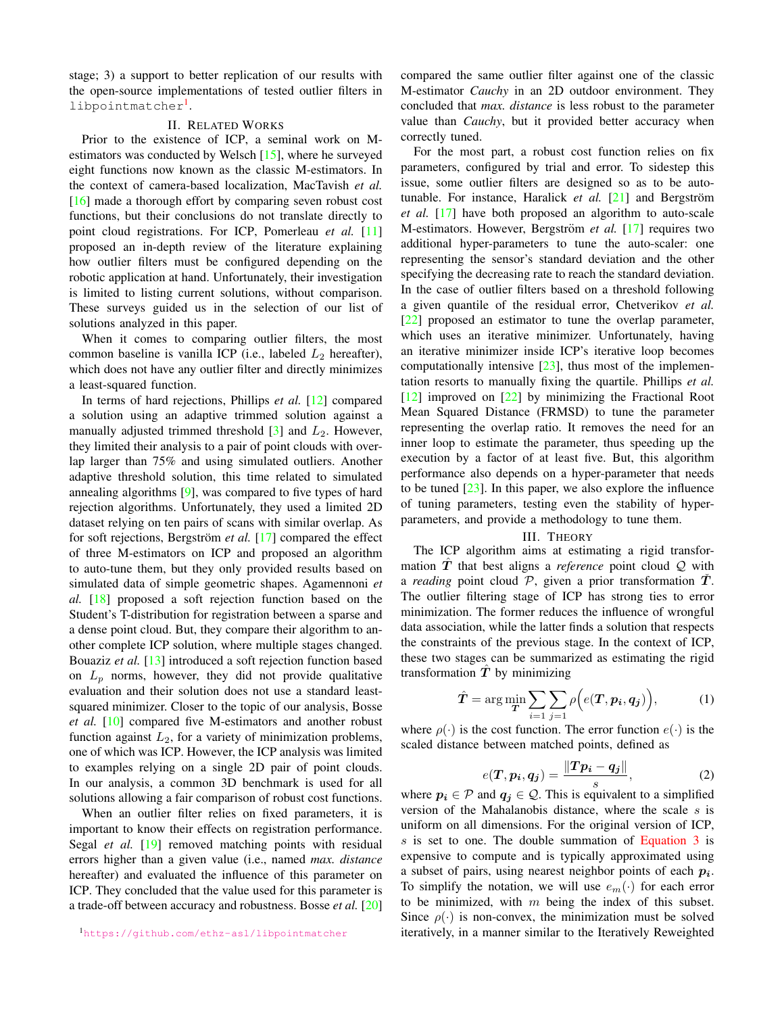stage; 3) a support to better replication of our results with the open-source implementations of tested outlier filters in libpointmatcher<sup>1</sup>.

# **II. RELATED WORKS**

Prior to the existence of ICP, a seminal work on Mestimators was conducted by Welsch [15], where he surveyed eight functions now known as the classic M-estimators. In the context of camera-based localization, MacTavish et al.  $[16]$  made a thorough effort by comparing seven robust cost functions, but their conclusions do not translate directly to point cloud registrations. For ICP, Pomerleau et al. [11] proposed an in-depth review of the literature explaining how outlier filters must be configured depending on the robotic application at hand. Unfortunately, their investigation is limited to listing current solutions, without comparison. These surveys guided us in the selection of our list of solutions analyzed in this paper.

When it comes to comparing outlier filters, the most common baseline is vanilla ICP (i.e., labeled  $L_2$  hereafter), which does not have any outlier filter and directly minimizes a least-squared function.

In terms of hard rejections, Phillips et al. [12] compared a solution using an adaptive trimmed solution against a manually adjusted trimmed threshold  $[3]$  and  $L_2$ . However, they limited their analysis to a pair of point clouds with overlap larger than 75% and using simulated outliers. Another adaptive threshold solution, this time related to simulated annealing algorithms [9], was compared to five types of hard rejection algorithms. Unfortunately, they used a limited 2D dataset relying on ten pairs of scans with similar overlap. As for soft rejections, Bergström et al.  $[17]$  compared the effect of three M-estimators on ICP and proposed an algorithm to auto-tune them, but they only provided results based on simulated data of simple geometric shapes. Agamennoni et al.  $[18]$  proposed a soft rejection function based on the Student's T-distribution for registration between a sparse and a dense point cloud. But, they compare their algorithm to another complete ICP solution, where multiple stages changed. Bouaziz et al. [13] introduced a soft rejection function based on  $L_p$  norms, however, they did not provide qualitative evaluation and their solution does not use a standard leastsquared minimizer. Closer to the topic of our analysis, Bosse et al. [10] compared five M-estimators and another robust function against  $L_2$ , for a variety of minimization problems, one of which was ICP. However, the ICP analysis was limited to examples relying on a single 2D pair of point clouds. In our analysis, a common 3D benchmark is used for all solutions allowing a fair comparison of robust cost functions.

When an outlier filter relies on fixed parameters, it is important to know their effects on registration performance. Segal et al. [19] removed matching points with residual errors higher than a given value (i.e., named max. distance hereafter) and evaluated the influence of this parameter on ICP. They concluded that the value used for this parameter is a trade-off between accuracy and robustness. Bosse et al. [20]

compared the same outlier filter against one of the classic M-estimator *Cauchy* in an 2D outdoor environment. They concluded that *max. distance* is less robust to the parameter value than *Cauchy*, but it provided better accuracy when correctly tuned.

For the most part, a robust cost function relies on fix parameters, configured by trial and error. To sidestep this issue, some outlier filters are designed so as to be autotunable. For instance, Haralick et al.  $[21]$  and Bergström *et al.* [17] have both proposed an algorithm to auto-scale M-estimators. However, Bergström et al. [17] requires two additional hyper-parameters to tune the auto-scaler: one representing the sensor's standard deviation and the other specifying the decreasing rate to reach the standard deviation. In the case of outlier filters based on a threshold following a given quantile of the residual error, Chetverikov et al.  $\lceil 22 \rceil$  proposed an estimator to tune the overlap parameter, which uses an iterative minimizer. Unfortunately, having an iterative minimizer inside ICP's iterative loop becomes computationally intensive  $[23]$ , thus most of the implementation resorts to manually fixing the quartile. Phillips et al.  $\lceil 12 \rceil$  improved on  $\lceil 22 \rceil$  by minimizing the Fractional Root Mean Squared Distance (FRMSD) to tune the parameter representing the overlap ratio. It removes the need for an inner loop to estimate the parameter, thus speeding up the execution by a factor of at least five. But, this algorithm performance also depends on a hyper-parameter that needs to be tuned  $[23]$ . In this paper, we also explore the influence of tuning parameters, testing even the stability of hyperparameters, and provide a methodology to tune them.

#### **III. THEORY**

The ICP algorithm aims at estimating a rigid transformation  $T$  that best aligns a *reference* point cloud  $Q$  with a *reading* point cloud  $P$ , given a prior transformation  $T$ . The outlier filtering stage of ICP has strong ties to error minimization. The former reduces the influence of wrongful data association, while the latter finds a solution that respects the constraints of the previous stage. In the context of ICP, these two stages can be summarized as estimating the rigid transformation  $T$  by minimizing

$$
\hat{T} = \arg\min_{\boldsymbol{T}} \sum_{i=1} \sum_{j=1} \rho\Big(e(\boldsymbol{T}, \boldsymbol{p_i}, \boldsymbol{q_j})\Big), \tag{1}
$$

where  $\rho(\cdot)$  is the cost function. The error function  $e(\cdot)$  is the scaled distance between matched points, defined as

$$
e(\boldsymbol{T}, \boldsymbol{p_i}, \boldsymbol{q_j}) = \frac{\|\boldsymbol{T}\boldsymbol{p_i} - \boldsymbol{q_j}\|}{s},
$$
 (2)

where  $p_i \in \mathcal{P}$  and  $q_j \in \mathcal{Q}$ . This is equivalent to a simplified version of the Mahalanobis distance, where the scale  $s$  is uniform on all dimensions. For the original version of ICP, s is set to one. The double summation of Equation 3 is expensive to compute and is typically approximated using a subset of pairs, using nearest neighbor points of each  $p_i$ . To simplify the notation, we will use  $e_m(\cdot)$  for each error to be minimized, with  $m$  being the index of this subset. Since  $\rho(\cdot)$  is non-convex, the minimization must be solved iteratively, in a manner similar to the Iteratively Reweighted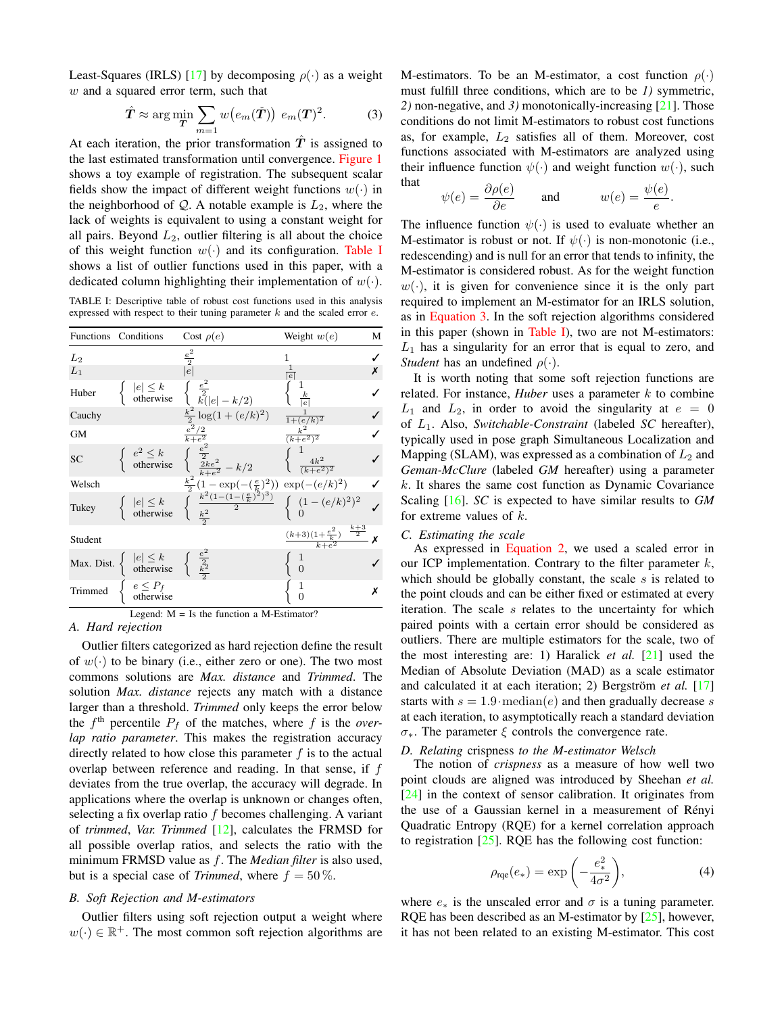Least-Squares (IRLS) [17] by decomposing  $\rho(\cdot)$  as a weight  $w$  and a squared error term, such that

$$
\hat{T} \approx \arg\min_{\mathbf{T}} \sum_{m=1} w(e_m(\check{\mathbf{T}})) e_m(\mathbf{T})^2.
$$
 (3)

At each iteration, the prior transformation  $T$  is assigned to the last estimated transformation until convergence. Figure 1 shows a toy example of registration. The subsequent scalar fields show the impact of different weight functions  $w(\cdot)$  in the neighborhood of  $Q$ . A notable example is  $L_2$ , where the lack of weights is equivalent to using a constant weight for all pairs. Beyond  $L_2$ , outlier filtering is all about the choice of this weight function  $w(\cdot)$  and its configuration. Table I shows a list of outlier functions used in this paper, with a dedicated column highlighting their implementation of  $w(\cdot)$ .

TABLE I: Descriptive table of robust cost functions used in this analysis expressed with respect to their tuning parameter  $k$  and the scaled error  $e$ .

|           | Functions Conditions                                                                                                           | Cost $\rho(e)$                                                                                                                                                      | Weight $w(e)$                                    | М |
|-----------|--------------------------------------------------------------------------------------------------------------------------------|---------------------------------------------------------------------------------------------------------------------------------------------------------------------|--------------------------------------------------|---|
| $L_2$     |                                                                                                                                | $\frac{e^2}{2}$                                                                                                                                                     | 1                                                |   |
| $L_1$     |                                                                                                                                | e                                                                                                                                                                   | $\frac{1}{ e }$                                  | Х |
| Huber     |                                                                                                                                | $\begin{array}{ll}  e  \leq k & \left\{ \begin{array}{l} \frac{e^2}{2} \\ k( e -k/2) \end{array} \right. \\ \frac{k^2}{2} \log(1+(e/k)^2) \end{array} \label{eq:4}$ | $\frac{k}{\left e\right }$                       |   |
| Cauchy    |                                                                                                                                |                                                                                                                                                                     | $\frac{1}{1 + (e/k)^2}$                          |   |
| <b>GM</b> |                                                                                                                                | $\frac{e^2/2}{k+e^2}$                                                                                                                                               | $\frac{k^2}{(k+e^2)^2}$                          |   |
| SC        |                                                                                                                                | $\begin{cases} e^2 \leq k & \left( \frac{e^2}{2} \right) \\ \text{ otherwise } & \left( \frac{2ke^2}{k+e^2} - k/2 \right) \end{cases}$                              | $\begin{cases}\frac{4k^2}{(k+e^2)^2}\end{cases}$ |   |
| Welsch    |                                                                                                                                | $\frac{k^2}{2}(1-\exp(-(\frac{e}{k})^2))\ \exp(-(e/k)^2)$                                                                                                           |                                                  |   |
| Tukey     |                                                                                                                                | $ e  \le k$<br>otherwise $\begin{cases} \frac{k^2(1-(1-(\frac{e}{k})^2)^3)}{2} \\ \frac{k^2}{2} \end{cases}$                                                        | $\begin{cases} (1-(e/k)^2)^2 \\ 0 \end{cases}$   |   |
| Student   |                                                                                                                                |                                                                                                                                                                     | $\frac{(k+3)(1+\frac{e^2}{k})}{k+e^2}$           | X |
|           | Max. Dist. $\begin{cases}  e  \leq k \\ \text{otherwise} \end{cases} \begin{cases} \frac{e^2}{2} \\ \frac{k^2}{2} \end{cases}$ |                                                                                                                                                                     | $\overline{0}$                                   |   |
| Trimmed   | $\begin{cases} e \leq P_f \\ \text{otherwise} \end{cases}$                                                                     |                                                                                                                                                                     | T<br>$\Omega$                                    | х |

Legend:  $M = Is$  the function a M-Estimator? A. Hard rejection

Outlier filters categorized as hard rejection define the result of  $w(\cdot)$  to be binary (i.e., either zero or one). The two most commons solutions are Max. distance and Trimmed. The solution *Max. distance* rejects any match with a distance larger than a threshold. Trimmed only keeps the error below the  $f<sup>th</sup>$  percentile  $P_f$  of the matches, where f is the overlap ratio parameter. This makes the registration accuracy directly related to how close this parameter  $f$  is to the actual overlap between reference and reading. In that sense, if  $f$ deviates from the true overlap, the accuracy will degrade. In applications where the overlap is unknown or changes often, selecting a fix overlap ratio  $f$  becomes challenging. A variant of trimmed, Var. Trimmed  $[12]$ , calculates the FRMSD for all possible overlap ratios, and selects the ratio with the minimum FRMSD value as  $f$ . The *Median filter* is also used, but is a special case of *Trimmed*, where  $f = 50\%$ .

#### **B.** Soft Rejection and M-estimators

Outlier filters using soft rejection output a weight where  $w(\cdot) \in \mathbb{R}^+$ . The most common soft rejection algorithms are M-estimators. To be an M-estimator, a cost function  $\rho(\cdot)$ must fulfill three conditions, which are to be 1) symmetric, 2) non-negative, and 3) monotonically-increasing  $[21]$ . Those conditions do not limit M-estimators to robust cost functions as, for example,  $L_2$  satisfies all of them. Moreover, cost functions associated with M-estimators are analyzed using their influence function  $\psi(\cdot)$  and weight function  $w(\cdot)$ , such that

$$
\psi(e) = \frac{\partial \rho(e)}{\partial e}
$$
 and  $w(e) = \frac{\psi(e)}{e}$ .

The influence function  $\psi(\cdot)$  is used to evaluate whether an M-estimator is robust or not. If  $\psi(\cdot)$  is non-monotonic (i.e., redescending) and is null for an error that tends to infinity, the M-estimator is considered robust. As for the weight function  $w(\cdot)$ , it is given for convenience since it is the only part required to implement an M-estimator for an IRLS solution, as in Equation 3. In the soft rejection algorithms considered in this paper (shown in Table I), two are not M-estimators:  $L_1$  has a singularity for an error that is equal to zero, and *Student* has an undefined  $\rho(\cdot)$ .

It is worth noting that some soft rejection functions are related. For instance, *Huber* uses a parameter  $k$  to combine  $L_1$  and  $L_2$ , in order to avoid the singularity at  $e = 0$ of  $L_1$ . Also, Switchable-Constraint (labeled SC hereafter), typically used in pose graph Simultaneous Localization and Mapping (SLAM), was expressed as a combination of  $L_2$  and Geman-McClure (labeled GM hereafter) using a parameter  $k$ . It shares the same cost function as Dynamic Covariance Scaling  $[16]$ . *SC* is expected to have similar results to *GM* for extreme values of  $k$ .

## C. Estimating the scale

As expressed in Equation 2, we used a scaled error in our ICP implementation. Contrary to the filter parameter  $k$ , which should be globally constant, the scale  $s$  is related to the point clouds and can be either fixed or estimated at every iteration. The scale s relates to the uncertainty for which paired points with a certain error should be considered as outliers. There are multiple estimators for the scale, two of the most interesting are: 1) Haralick *et al.*  $[21]$  used the Median of Absolute Deviation (MAD) as a scale estimator and calculated it at each iteration; 2) Bergström et al.  $[17]$ starts with  $s = 1.9 \cdot \text{median}(e)$  and then gradually decrease s at each iteration, to asymptotically reach a standard deviation  $\sigma_{*}$ . The parameter  $\xi$  controls the convergence rate.

### D. Relating crispness to the M-estimator Welsch

The notion of *crispness* as a measure of how well two point clouds are aligned was introduced by Sheehan et al.  $[24]$  in the context of sensor calibration. It originates from the use of a Gaussian kernel in a measurement of Rényi Quadratic Entropy (RQE) for a kernel correlation approach to registration  $[25]$ . RQE has the following cost function:

$$
\rho_{\rm rqe}(e_*) = \exp\left(-\frac{e_*^2}{4\sigma^2}\right),\tag{4}
$$

where  $e_*$  is the unscaled error and  $\sigma$  is a tuning parameter. RQE has been described as an M-estimator by  $[25]$ , however, it has not been related to an existing M-estimator. This cost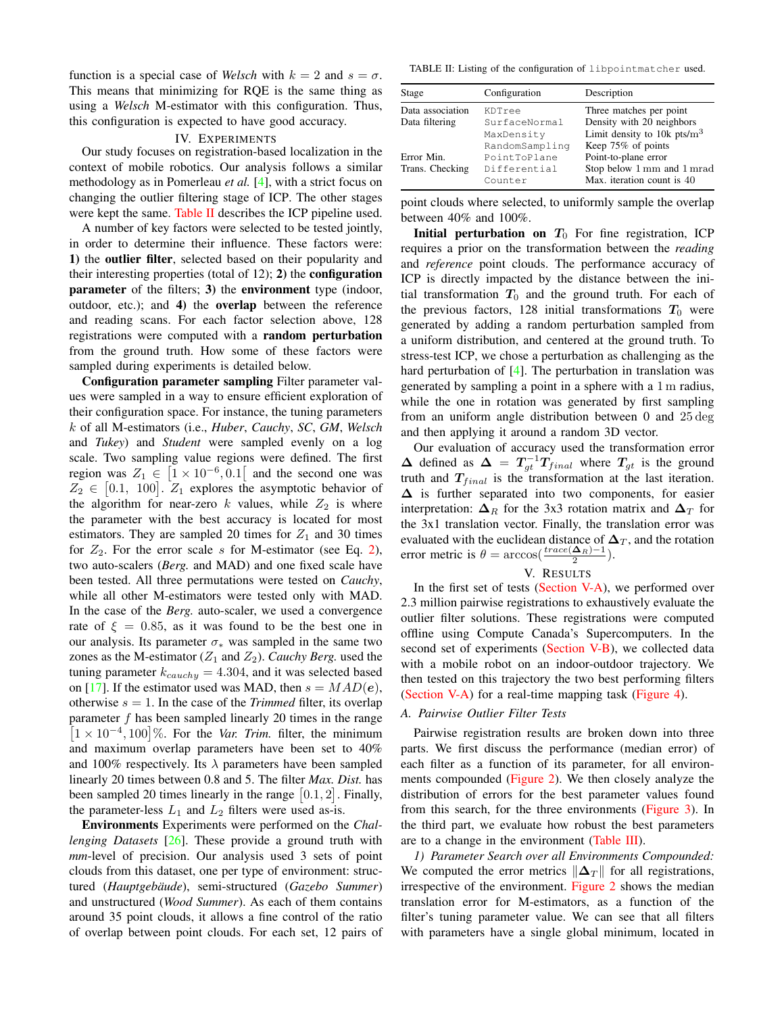function is a special case of Welsch with  $k = 2$  and  $s = \sigma$ . This means that minimizing for RQE is the same thing as using a Welsch M-estimator with this configuration. Thus, this configuration is expected to have good accuracy.

#### **IV. EXPERIMENTS**

Our study focuses on registration-based localization in the context of mobile robotics. Our analysis follows a similar methodology as in Pomerleau et al.  $[4]$ , with a strict focus on changing the outlier filtering stage of ICP. The other stages were kept the same. Table II describes the ICP pipeline used.

A number of key factors were selected to be tested jointly, in order to determine their influence. These factors were: 1) the outlier filter, selected based on their popularity and their interesting properties (total of  $12$ ); 2) the **configuration** parameter of the filters; 3) the environment type (indoor, outdoor, etc.); and 4) the **overlap** between the reference and reading scans. For each factor selection above, 128 registrations were computed with a random perturbation from the ground truth. How some of these factors were sampled during experiments is detailed below.

Configuration parameter sampling Filter parameter values were sampled in a way to ensure efficient exploration of their configuration space. For instance, the tuning parameters k of all M-estimators (i.e., Huber, Cauchy, SC, GM, Welsch and *Tukey*) and *Student* were sampled evenly on a log scale. Two sampling value regions were defined. The first region was  $Z_1 \in [1 \times 10^{-6}, 0.1]$  and the second one was  $Z_2 \in [0.1, 100]$ .  $Z_1$  explores the asymptotic behavior of the algorithm for near-zero  $k$  values, while  $Z_2$  is where the parameter with the best accuracy is located for most estimators. They are sampled 20 times for  $Z_1$  and 30 times for  $Z_2$ . For the error scale s for M-estimator (see Eq. 2), two auto-scalers (Berg. and MAD) and one fixed scale have been tested. All three permutations were tested on *Cauchy*, while all other M-estimators were tested only with MAD. In the case of the *Berg*. auto-scaler, we used a convergence rate of  $\xi = 0.85$ , as it was found to be the best one in our analysis. Its parameter  $\sigma_*$  was sampled in the same two zones as the M-estimator ( $Z_1$  and  $Z_2$ ). Cauchy Berg. used the tuning parameter  $k_{cauchy} = 4.304$ , and it was selected based on [17]. If the estimator used was MAD, then  $s = MAD(e)$ , otherwise  $s = 1$ . In the case of the *Trimmed* filter, its overlap parameter  $f$  has been sampled linearly 20 times in the range  $[1 \times 10^{-4}, 100]$ %. For the *Var. Trim.* filter, the minimum and maximum overlap parameters have been set to 40% and 100% respectively. Its  $\lambda$  parameters have been sampled linearly 20 times between 0.8 and 5. The filter Max. Dist. has been sampled 20 times linearly in the range  $[0.1, 2]$ . Finally, the parameter-less  $L_1$  and  $L_2$  filters were used as-is.

Environments Experiments were performed on the Chal*lenging Datasets* [26]. These provide a ground truth with mm-level of precision. Our analysis used 3 sets of point clouds from this dataset, one per type of environment: structured (Hauptgebäude), semi-structured (Gazebo Summer) and unstructured (Wood Summer). As each of them contains around 35 point clouds, it allows a fine control of the ratio of overlap between point clouds. For each set, 12 pairs of

TABLE II: Listing of the configuration of libpointmatcher used.

| Stage            | Configuration  | Description                    |
|------------------|----------------|--------------------------------|
| Data association | KDTree         | Three matches per point        |
| Data filtering   | SurfaceNormal  | Density with 20 neighbors      |
|                  | MaxDensity     | Limit density to 10k pts/ $m3$ |
|                  | RandomSampling | Keep 75% of points             |
| Error Min.       | PointToPlane   | Point-to-plane error           |
| Trans. Checking  | Differential   | Stop below 1 mm and 1 mrad     |
|                  | Counter        | Max. iteration count is 40     |

point clouds where selected, to uniformly sample the overlap between 40% and 100%.

Initial perturbation on  $T_0$  For fine registration, ICP requires a prior on the transformation between the *reading* and *reference* point clouds. The performance accuracy of ICP is directly impacted by the distance between the initial transformation  $T_0$  and the ground truth. For each of the previous factors, 128 initial transformations  $T_0$  were generated by adding a random perturbation sampled from a uniform distribution, and centered at the ground truth. To stress-test ICP, we chose a perturbation as challenging as the hard perturbation of  $[4]$ . The perturbation in translation was generated by sampling a point in a sphere with a 1 m radius, while the one in rotation was generated by first sampling from an uniform angle distribution between  $0$  and  $25 \deg$ and then applying it around a random 3D vector.

Our evaluation of accuracy used the transformation error  $\Delta$  defined as  $\Delta = T_{gt}^{-1}T_{final}$  where  $T_{gt}$  is the ground truth and  $T_{final}$  is the transformation at the last iteration.  $\Delta$  is further separated into two components, for easier interpretation:  $\Delta_R$  for the 3x3 rotation matrix and  $\Delta_T$  for the 3x1 translation vector. Finally, the translation error was evaluated with the euclidean distance of  $\Delta_T$ , and the rotation error metric is  $\theta = \arccos(\frac{trace(\Delta_R)-1}{2})$ .

#### V. Results

In the first set of tests (Section V-A), we performed over 2.3 million pairwise registrations to exhaustively evaluate the outlier filter solutions. These registrations were computed offline using Compute Canada's Supercomputers. In the second set of experiments (Section V-B), we collected data with a mobile robot on an indoor-outdoor trajectory. We then tested on this trajectory the two best performing filters (Section V-A) for a real-time mapping task (Figure 4).

# A. Pairwise Outlier Filter Tests

Pairwise registration results are broken down into three parts. We first discuss the performance (median error) of each filter as a function of its parameter, for all environments compounded (Figure 2). We then closely analyze the distribution of errors for the best parameter values found from this search, for the three environments (Figure 3). In the third part, we evaluate how robust the best parameters are to a change in the environment (Table III).

1) Parameter Search over all Environments Compounded: We computed the error metrics  $\|\Delta_T\|$  for all registrations, irrespective of the environment. Figure 2 shows the median translation error for M-estimators, as a function of the filter's tuning parameter value. We can see that all filters with parameters have a single global minimum, located in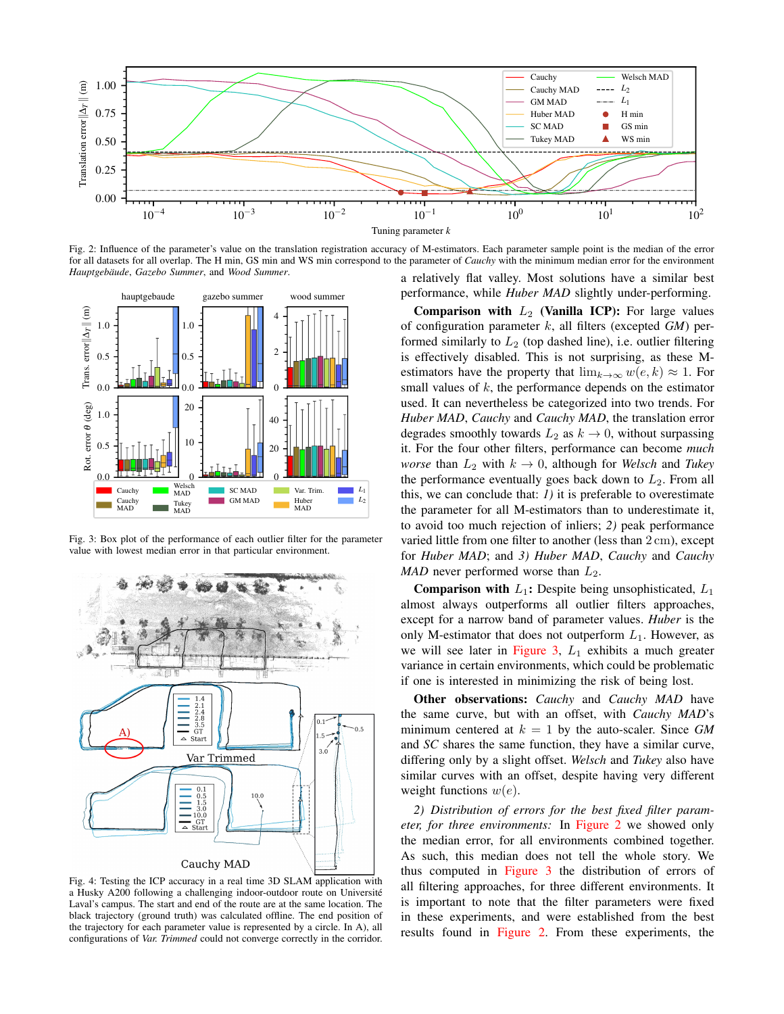

Fig. 2: Influence of the parameter's value on the translation registration accuracy of M-estimators. Each parameter sample point is the median of the error for all datasets for all overlap. The H min, GS min and WS min correspond to the parameter of Cauchy with the minimum median error for the environment Hauptgebäude, Gazebo Summer, and Wood Summer.



Fig. 3: Box plot of the performance of each outlier filter for the parameter value with lowest median error in that particular environment.



Fig. 4: Testing the ICP accuracy in a real time 3D SLAM application with a Husky A200 following a challenging indoor-outdoor route on Université Laval's campus. The start and end of the route are at the same location. The black trajectory (ground truth) was calculated offline. The end position of the trajectory for each parameter value is represented by a circle. In A), all configurations of Var. Trimmed could not converge correctly in the corridor.

a relatively flat valley. Most solutions have a similar best performance, while *Huber MAD* slightly under-performing.

**Comparison with**  $L_2$  **(Vanilla ICP):** For large values of configuration parameter  $k$ , all filters (excepted  $GM$ ) performed similarly to  $L_2$  (top dashed line), i.e. outlier filtering is effectively disabled. This is not surprising, as these Mestimators have the property that  $\lim_{k\to\infty} w(e,k) \approx 1$ . For small values of  $k$ , the performance depends on the estimator used. It can nevertheless be categorized into two trends. For *Huber MAD, Cauchy and Cauchy MAD, the translation error* degrades smoothly towards  $L_2$  as  $k \to 0$ , without surpassing it. For the four other filters, performance can become much worse than  $L_2$  with  $k \to 0$ , although for Welsch and Tukey the performance eventually goes back down to  $L_2$ . From all this, we can conclude that:  $I$ ) it is preferable to overestimate the parameter for all M-estimators than to underestimate it, to avoid too much rejection of inliers; 2) peak performance varied little from one filter to another (less than 2 cm), except for Huber MAD; and 3) Huber MAD, Cauchy and Cauchy  $MAD$  never performed worse than  $L_2$ .

**Comparison with**  $L_1$ **:** Despite being unsophisticated,  $L_1$ almost always outperforms all outlier filters approaches, except for a narrow band of parameter values. Huber is the only M-estimator that does not outperform  $L_1$ . However, as we will see later in Figure 3,  $L_1$  exhibits a much greater variance in certain environments, which could be problematic if one is interested in minimizing the risk of being lost.

Other observations: Cauchy and Cauchy MAD have the same curve, but with an offset, with Cauchy MAD's minimum centered at  $k = 1$  by the auto-scaler. Since GM and SC shares the same function, they have a similar curve, differing only by a slight offset. Welsch and Tukey also have similar curves with an offset, despite having very different weight functions  $w(e)$ .

2) Distribution of errors for the best fixed filter param*eter, for three environments:* In Figure 2 we showed only the median error, for all environments combined together. As such, this median does not tell the whole story. We thus computed in Figure 3 the distribution of errors of all filtering approaches, for three different environments. It is important to note that the filter parameters were fixed in these experiments, and were established from the best results found in Figure 2. From these experiments, the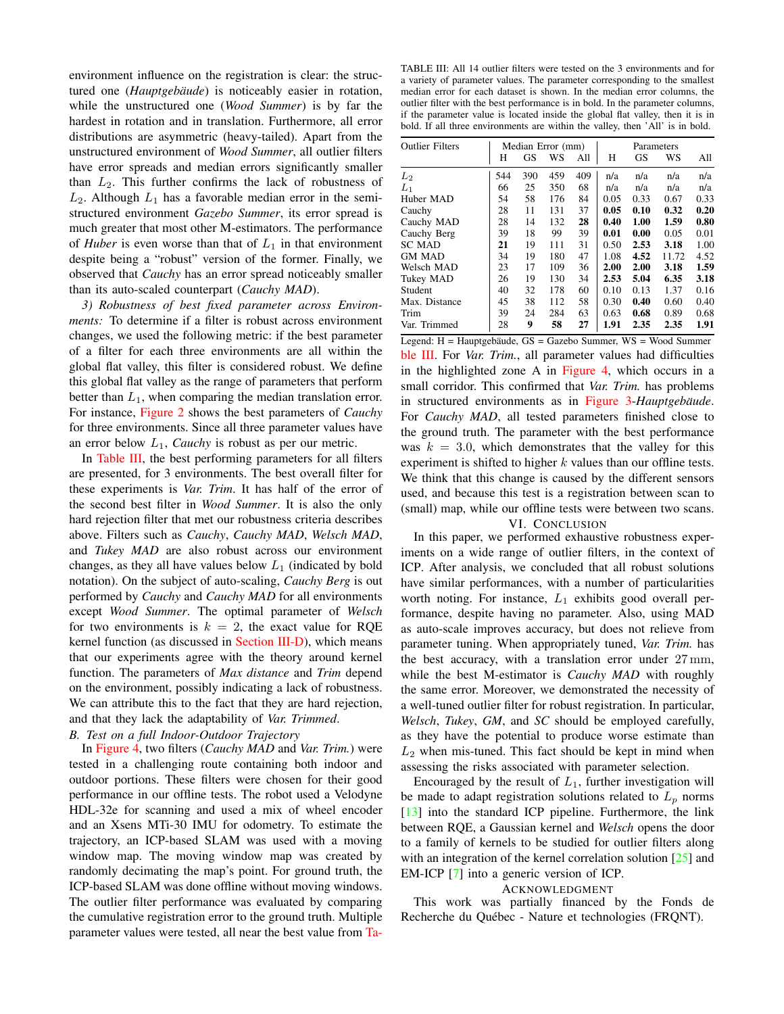environment influence on the registration is clear: the structured one (Hauptgebäude) is noticeably easier in rotation, while the unstructured one (Wood Summer) is by far the hardest in rotation and in translation. Furthermore, all error distributions are asymmetric (heavy-tailed). Apart from the unstructured environment of Wood Summer, all outlier filters have error spreads and median errors significantly smaller than  $L_2$ . This further confirms the lack of robustness of  $L_2$ . Although  $L_1$  has a favorable median error in the semistructured environment Gazebo Summer, its error spread is much greater that most other M-estimators. The performance of *Huber* is even worse than that of  $L_1$  in that environment despite being a "robust" version of the former. Finally, we observed that Cauchy has an error spread noticeably smaller than its auto-scaled counterpart (Cauchy MAD).

3) Robustness of best fixed parameter across Environ*ments:* To determine if a filter is robust across environment changes, we used the following metric: if the best parameter of a filter for each three environments are all within the global flat valley, this filter is considered robust. We define this global flat valley as the range of parameters that perform better than  $L_1$ , when comparing the median translation error. For instance, Figure 2 shows the best parameters of *Cauchy* for three environments. Since all three parameter values have an error below  $L_1$ , *Cauchy* is robust as per our metric.

In Table III, the best performing parameters for all filters are presented, for 3 environments. The best overall filter for these experiments is *Var. Trim.* It has half of the error of the second best filter in Wood Summer. It is also the only hard rejection filter that met our robustness criteria describes above. Filters such as Cauchy, Cauchy MAD, Welsch MAD, and Tukey MAD are also robust across our environment changes, as they all have values below  $L_1$  (indicated by bold notation). On the subject of auto-scaling, *Cauchy Berg* is out performed by *Cauchy* and *Cauchy MAD* for all environments except Wood Summer. The optimal parameter of Welsch for two environments is  $k = 2$ , the exact value for RQE kernel function (as discussed in Section III-D), which means that our experiments agree with the theory around kernel function. The parameters of *Max distance* and *Trim* depend on the environment, possibly indicating a lack of robustness. We can attribute this to the fact that they are hard rejection, and that they lack the adaptability of Var. Trimmed.

# B. Test on a full Indoor-Outdoor Trajectory

In Figure 4, two filters (Cauchy MAD and Var. Trim.) were tested in a challenging route containing both indoor and outdoor portions. These filters were chosen for their good performance in our offline tests. The robot used a Velodyne HDL-32e for scanning and used a mix of wheel encoder and an Xsens MTi-30 IMU for odometry. To estimate the trajectory, an ICP-based SLAM was used with a moving window map. The moving window map was created by randomly decimating the map's point. For ground truth, the ICP-based SLAM was done offline without moving windows. The outlier filter performance was evaluated by comparing the cumulative registration error to the ground truth. Multiple parameter values were tested, all near the best value from Ta-

TABLE III: All 14 outlier filters were tested on the 3 environments and for a variety of parameter values. The parameter corresponding to the smallest median error for each dataset is shown. In the median error columns, the outlier filter with the best performance is in bold. In the parameter columns, if the parameter value is located inside the global flat valley, then it is in bold. If all three environments are within the valley, then 'All' is in bold.

| <b>Outlier Filters</b> | Median Error (mm) |     |     | Parameters |      |           |       |      |
|------------------------|-------------------|-----|-----|------------|------|-----------|-------|------|
|                        | Н                 | GS  | WS  | All        | Н    | <b>GS</b> | WS    | All  |
| $L_2$                  | 544               | 390 | 459 | 409        | n/a  | n/a       | n/a   | n/a  |
| $L_1$                  | 66                | 25  | 350 | 68         | n/a  | n/a       | n/a   | n/a  |
| Huber MAD              | 54                | 58  | 176 | 84         | 0.05 | 0.33      | 0.67  | 0.33 |
| Cauchy                 | 28                | 11  | 131 | 37         | 0.05 | 0.10      | 0.32  | 0.20 |
| Cauchy MAD             | 28                | 14  | 132 | 28         | 0.40 | 1.00      | 1.59  | 0.80 |
| Cauchy Berg            | 39                | 18  | 99  | 39         | 0.01 | 0.00      | 0.05  | 0.01 |
| <b>SC MAD</b>          | 21                | 19  | 111 | 31         | 0.50 | 2.53      | 3.18  | 1.00 |
| <b>GM MAD</b>          | 34                | 19  | 180 | 47         | 1.08 | 4.52      | 11.72 | 4.52 |
| Welsch MAD             | 23                | 17  | 109 | 36         | 2.00 | 2.00      | 3.18  | 1.59 |
| Tukey MAD              | 26                | 19  | 130 | 34         | 2.53 | 5.04      | 6.35  | 3.18 |
| Student                | 40                | 32  | 178 | 60         | 0.10 | 0.13      | 1.37  | 0.16 |
| Max. Distance          | 45                | 38  | 112 | 58         | 0.30 | 0.40      | 0.60  | 0.40 |
| Trim                   | 39                | 24  | 284 | 63         | 0.63 | 0.68      | 0.89  | 0.68 |
| Var. Trimmed           | 28                | 9   | 58  | 27         | 1.91 | 2.35      | 2.35  | 1.91 |

Legend: H = Hauptgebäude, GS = Gazebo Summer, WS = Wood Summer ble III. For Var. Trim., all parameter values had difficulties in the highlighted zone A in Figure 4, which occurs in a small corridor. This confirmed that Var. Trim. has problems in structured environments as in Figure 3-Hauptgebäude. For Cauchy MAD, all tested parameters finished close to the ground truth. The parameter with the best performance was  $k = 3.0$ , which demonstrates that the valley for this experiment is shifted to higher  $k$  values than our offline tests. We think that this change is caused by the different sensors used, and because this test is a registration between scan to (small) map, while our offline tests were between two scans.

#### VI. CONCLUSION

In this paper, we performed exhaustive robustness experiments on a wide range of outlier filters, in the context of ICP. After analysis, we concluded that all robust solutions have similar performances, with a number of particularities worth noting. For instance,  $L_1$  exhibits good overall performance, despite having no parameter. Also, using MAD as auto-scale improves accuracy, but does not relieve from parameter tuning. When appropriately tuned, Var. Trim. has the best accuracy, with a translation error under 27 mm, while the best M-estimator is *Cauchy MAD* with roughly the same error. Moreover, we demonstrated the necessity of a well-tuned outlier filter for robust registration. In particular, Welsch, Tukey, GM, and SC should be employed carefully, as they have the potential to produce worse estimate than  $L_2$  when mis-tuned. This fact should be kept in mind when assessing the risks associated with parameter selection.

Encouraged by the result of  $L_1$ , further investigation will be made to adapt registration solutions related to  $L_p$  norms  $[13]$  into the standard ICP pipeline. Furthermore, the link between RQE, a Gaussian kernel and Welsch opens the door to a family of kernels to be studied for outlier filters along with an integration of the kernel correlation solution  $[25]$  and EM-ICP [7] into a generic version of ICP.

#### **ACKNOWLEDGMENT**

This work was partially financed by the Fonds de Recherche du Québec - Nature et technologies (FRQNT).